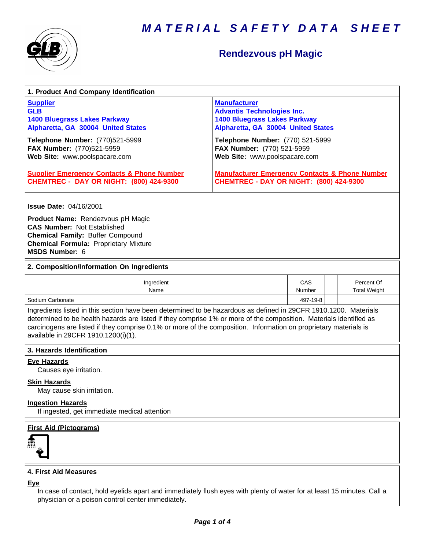



## **Rendezvous pH Magic**

| 1. Product And Company Identification                                                                                                                                                                                                                                                                                                                                                             |                                                                                                                                                                           |               |  |                                   |
|---------------------------------------------------------------------------------------------------------------------------------------------------------------------------------------------------------------------------------------------------------------------------------------------------------------------------------------------------------------------------------------------------|---------------------------------------------------------------------------------------------------------------------------------------------------------------------------|---------------|--|-----------------------------------|
| <b>Supplier</b><br><b>GLB</b><br><b>1400 Bluegrass Lakes Parkway</b><br>Alpharetta, GA 30004 United States<br>Telephone Number: (770)521-5999                                                                                                                                                                                                                                                     | <b>Manufacturer</b><br><b>Advantis Technologies Inc.</b><br><b>1400 Bluegrass Lakes Parkway</b><br>Alpharetta, GA 30004 United States<br>Telephone Number: (770) 521-5999 |               |  |                                   |
| FAX Number: (770)521-5959<br>Web Site: www.poolspacare.com                                                                                                                                                                                                                                                                                                                                        | FAX Number: (770) 521-5959<br>Web Site: www.poolspacare.com                                                                                                               |               |  |                                   |
| <b>Supplier Emergency Contacts &amp; Phone Number</b><br><b>CHEMTREC - DAY OR NIGHT: (800) 424-9300</b>                                                                                                                                                                                                                                                                                           | <b>Manufacturer Emergency Contacts &amp; Phone Number</b><br><b>CHEMTREC - DAY OR NIGHT: (800) 424-9300</b>                                                               |               |  |                                   |
| <b>Issue Date: 04/16/2001</b>                                                                                                                                                                                                                                                                                                                                                                     |                                                                                                                                                                           |               |  |                                   |
| Product Name: Rendezvous pH Magic<br><b>CAS Number: Not Established</b><br><b>Chemical Family: Buffer Compound</b><br><b>Chemical Formula: Proprietary Mixture</b><br>MSDS Number: 6                                                                                                                                                                                                              |                                                                                                                                                                           |               |  |                                   |
| 2. Composition/Information On Ingredients                                                                                                                                                                                                                                                                                                                                                         |                                                                                                                                                                           |               |  |                                   |
| Ingredient<br>Name                                                                                                                                                                                                                                                                                                                                                                                |                                                                                                                                                                           | CAS<br>Number |  | Percent Of<br><b>Total Weight</b> |
| Sodium Carbonate                                                                                                                                                                                                                                                                                                                                                                                  |                                                                                                                                                                           | 497-19-8      |  |                                   |
| Ingredients listed in this section have been determined to be hazardous as defined in 29CFR 1910.1200. Materials<br>determined to be health hazards are listed if they comprise 1% or more of the composition. Materials identified as<br>carcinogens are listed if they comprise 0.1% or more of the composition. Information on proprietary materials is<br>available in 29CFR 1910.1200(i)(1). |                                                                                                                                                                           |               |  |                                   |
| 3. Hazards Identification                                                                                                                                                                                                                                                                                                                                                                         |                                                                                                                                                                           |               |  |                                   |
| <b>Eye Hazards</b><br>Causes eye irritation.<br><b>Skin Hazards</b>                                                                                                                                                                                                                                                                                                                               |                                                                                                                                                                           |               |  |                                   |
| May cause skin irritation.                                                                                                                                                                                                                                                                                                                                                                        |                                                                                                                                                                           |               |  |                                   |
| <b>Ingestion Hazards</b><br>If ingested, get immediate medical attention                                                                                                                                                                                                                                                                                                                          |                                                                                                                                                                           |               |  |                                   |
| <b>First Aid (Pictograms)</b>                                                                                                                                                                                                                                                                                                                                                                     |                                                                                                                                                                           |               |  |                                   |
| <b>4. First Aid Measures</b>                                                                                                                                                                                                                                                                                                                                                                      |                                                                                                                                                                           |               |  |                                   |
| <b>Eye</b><br>In case of contact, hold eyelids apart and immediately flush eyes with plenty of water for at least 15 minutes. Call a                                                                                                                                                                                                                                                              |                                                                                                                                                                           |               |  |                                   |

physician or a poison control center immediately.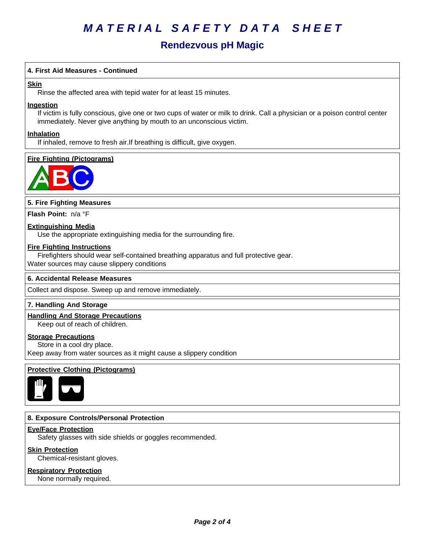# *MATERIAL SAFETY DATA SHEET*

### **Rendezvous pH Magic**

#### **4. First AidMeasures - Continued**

#### **Skin**

Rinse the affected area with tepid water for at least 15 minutes.

#### **Ingestion**

If victim is fully conscious, give one or two cups of water or milk to drink. Call a physician or a poison control center immediately. Never give anything by mouth to an unconscious victim.

#### **Inhalation**

If inhaled, remove to fresh air.If breathing is difficult, give oxygen.

#### **Fire Fighting (Pictograms)**



#### **5. Fire Fighting Measures**

**Flash Point:** n/a°F

#### **Extinguishing Media**

Use the appropriate extinguishing media for the surrounding fire.

#### **Fire Fighting Instructions**

Firefighters should wear self-contained breathing apparatus and full protective gear. Water sources may cause slippery conditions

#### **6.Accidental ReleaseMeasures**

Collect and dispose. Sweep up and remove immediately.

#### **7. Handling And Storage**

#### **Handling And Storage Precautions**

Keep out of reach of children.

#### **Storage Precautions**

Store in a cool dry place. Keep away from water sources as it might cause a slippery condition

#### **Protective Clothing (Pictograms)**



#### **8. Exposure Controls/Personal Protection**

#### **Eye/Face Protection**

Safety glasses with side shields or goggles recommended.

#### **Skin Protection**

Chemical-resistant gloves.

#### **Respiratory Protection**

None normally required.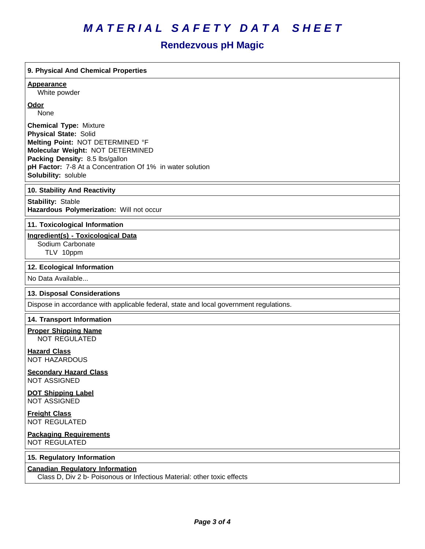# *MATERIAL SAFETY DATA SHEET*

## **Rendezvous pH Magic**

| 9. Physical And Chemical Properties                                                                               |
|-------------------------------------------------------------------------------------------------------------------|
| <b>Appearance</b>                                                                                                 |
| White powder<br>Odor                                                                                              |
| None                                                                                                              |
| <b>Chemical Type: Mixture</b>                                                                                     |
| <b>Physical State: Solid</b><br>Melting Point: NOT DETERMINED °F                                                  |
| Molecular Weight: NOT DETERMINED                                                                                  |
| Packing Density: 8.5 lbs/gallon<br>pH Factor: 7-8 At a Concentration Of 1% in water solution                      |
| Solubility: soluble                                                                                               |
| 10. Stability And Reactivity                                                                                      |
| <b>Stability: Stable</b><br>Hazardous Polymerization: Will not occur                                              |
| 11. Toxicological Information                                                                                     |
| <b>Ingredient(s) - Toxicological Data</b>                                                                         |
| Sodium Carbonate<br>TLV 10ppm                                                                                     |
| 12. Ecological Information                                                                                        |
| No Data Available                                                                                                 |
| 13. Disposal Considerations                                                                                       |
| Dispose in accordance with applicable federal, state and local government regulations.                            |
| 14. Transport Information                                                                                         |
| <b>Proper Shipping Name</b><br><b>NOT REGULATED</b>                                                               |
| <b>Hazard Class</b><br><b>NOT HAZARDOUS</b>                                                                       |
| <b>Secondary Hazard Class</b><br><b>NOT ASSIGNED</b>                                                              |
| <b>DOT Shipping Label</b><br><b>NOT ASSIGNED</b>                                                                  |
| <b>Freight Class</b><br><b>NOT REGULATED</b>                                                                      |
| <b>Packaging Requirements</b><br><b>NOT REGULATED</b>                                                             |
| 15. Regulatory Information                                                                                        |
| <b>Canadian Regulatory Information</b><br>Class D, Div 2 b- Poisonous or Infectious Material: other toxic effects |
|                                                                                                                   |